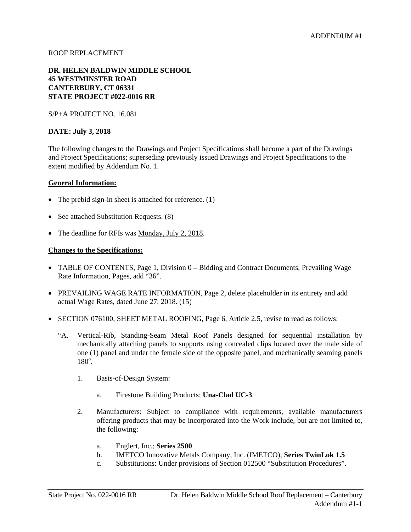#### ROOF REPLACEMENT

#### **DR. HELEN BALDWIN MIDDLE SCHOOL 45 WESTMINSTER ROAD CANTERBURY, CT 06331 STATE PROJECT #022-0016 RR**

S/P+A PROJECT NO. 16.081

#### **DATE: July 3, 2018**

The following changes to the Drawings and Project Specifications shall become a part of the Drawings and Project Specifications; superseding previously issued Drawings and Project Specifications to the extent modified by Addendum No. 1.

#### **General Information:**

- The prebid sign-in sheet is attached for reference. (1)
- See attached Substitution Requests. (8)
- The deadline for RFIs was Monday, July 2, 2018.

#### **Changes to the Specifications:**

- TABLE OF CONTENTS, Page 1, Division 0 Bidding and Contract Documents, Prevailing Wage Rate Information, Pages, add "36".
- PREVAILING WAGE RATE INFORMATION, Page 2, delete placeholder in its entirety and add actual Wage Rates, dated June 27, 2018. (15)
- SECTION 076100, SHEET METAL ROOFING, Page 6, Article 2.5, revise to read as follows:
	- "A. Vertical-Rib, Standing-Seam Metal Roof Panels designed for sequential installation by mechanically attaching panels to supports using concealed clips located over the male side of one (1) panel and under the female side of the opposite panel, and mechanically seaming panels  $180^\circ$ .
		- 1. Basis-of-Design System:
			- a. Firestone Building Products; **Una-Clad UC-3**
		- 2. Manufacturers: Subject to compliance with requirements, available manufacturers offering products that may be incorporated into the Work include, but are not limited to, the following:
			- a. Englert, Inc.; **Series 2500**
			- b. IMETCO Innovative Metals Company, Inc. (IMETCO); **Series TwinLok 1.5**
			- c. Substitutions: Under provisions of Section 012500 "Substitution Procedures".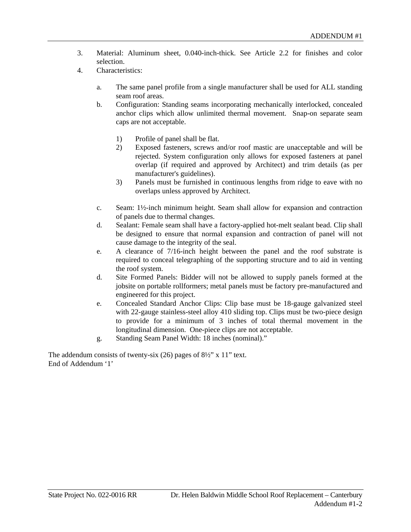- 3. Material: Aluminum sheet, 0.040-inch-thick. See Article 2.2 for finishes and color selection.
- 4. Characteristics:
	- a. The same panel profile from a single manufacturer shall be used for ALL standing seam roof areas.
	- b. Configuration: Standing seams incorporating mechanically interlocked, concealed anchor clips which allow unlimited thermal movement. Snap-on separate seam caps are not acceptable.
		- 1) Profile of panel shall be flat.
		- 2) Exposed fasteners, screws and/or roof mastic are unacceptable and will be rejected. System configuration only allows for exposed fasteners at panel overlap (if required and approved by Architect) and trim details (as per manufacturer's guidelines).
		- 3) Panels must be furnished in continuous lengths from ridge to eave with no overlaps unless approved by Architect.
	- c. Seam: 1½-inch minimum height. Seam shall allow for expansion and contraction of panels due to thermal changes.
	- d. Sealant: Female seam shall have a factory-applied hot-melt sealant bead. Clip shall be designed to ensure that normal expansion and contraction of panel will not cause damage to the integrity of the seal.
	- e. A clearance of 7/16-inch height between the panel and the roof substrate is required to conceal telegraphing of the supporting structure and to aid in venting the roof system.
	- d. Site Formed Panels: Bidder will not be allowed to supply panels formed at the jobsite on portable rollformers; metal panels must be factory pre-manufactured and engineered for this project.
	- e. Concealed Standard Anchor Clips: Clip base must be 18-gauge galvanized steel with 22-gauge stainless-steel alloy 410 sliding top. Clips must be two-piece design to provide for a minimum of 3 inches of total thermal movement in the longitudinal dimension. One-piece clips are not acceptable.
	- g. Standing Seam Panel Width: 18 inches (nominal)."

The addendum consists of twenty-six (26) pages of 8½" x 11" text. End of Addendum '1'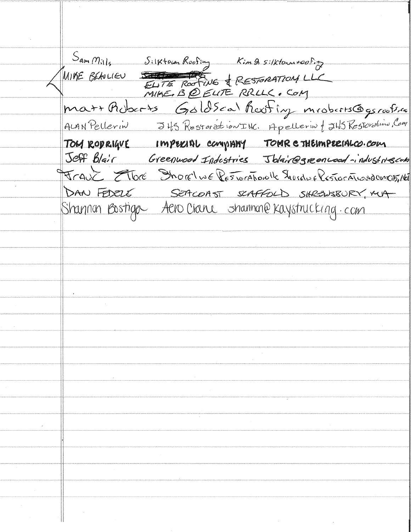Sam Mille Silktown Roofing Kim 2 silktown voofing<br>THE BEAULIEU ELITE ROOTING & RESTORATION LLC MIKE BELULIEU S matt Adocrts Goldscal heating mroberts@gsrafs.ca ALAN Pellerin J45 Restoration INC. Apellerin | J45 Restoration, Com TOM RODRIGUE IMPERIAL COMPANY TOMRE THEIMPERIALCO. COM Jeff Blair Greenwood Indestries Jblair@greenwood-industriescom Frank Elbre Shorelwe Responsible Shordwe Responsible Met DAN FEDELE SEPICOAST SCAFFOLD SHREWSBURY, MUA Shannon Bostigo Aero Crane shannon@ Kaystrucking.com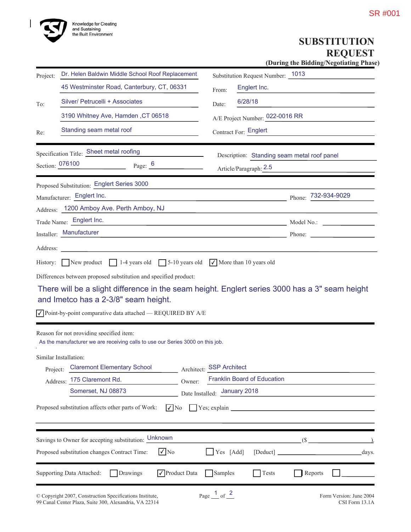

# **SUBSTITUTION REQUEST**

(During the Bidding/Negotiating Phase)

| Project: | Dr. Helen Baldwin Middle School Roof Replacement                                                                           | Substitution Request Number: 1013                       |
|----------|----------------------------------------------------------------------------------------------------------------------------|---------------------------------------------------------|
|          | 45 Westminster Road, Canterbury, CT, 06331                                                                                 | Englert Inc.<br>From:                                   |
| To:      | Silver/ Petrucelli + Associates                                                                                            | 6/28/18<br>Date:                                        |
|          | 3190 Whitney Ave, Hamden, CT 06518                                                                                         | A/E Project Number: 022-0016 RR                         |
| Re:      | Standing seam metal roof                                                                                                   | Contract For: Englert                                   |
|          | Specification Title: Sheet metal roofing                                                                                   | Description: Standing seam metal roof panel             |
|          | Section: 076100<br>Page: $6$                                                                                               | Article/Paragraph: 2.5                                  |
|          | Proposed Substitution: Englert Series 3000                                                                                 |                                                         |
|          | Manufacturer: Englert Inc.                                                                                                 | Phone: 732-934-9029                                     |
|          | Address: 1200 Amboy Ave. Perth Amboy, NJ                                                                                   |                                                         |
|          | Trade Name: Englert Inc.                                                                                                   | Model No.:                                              |
|          | Installer: Manufacturer                                                                                                    |                                                         |
| Address: |                                                                                                                            |                                                         |
|          | and Imetco has a 2-3/8" seam height.<br>$\sqrt{}$ Point-by-point comparative data attached $-$ REQUIRED BY A/E             |                                                         |
|          | Reason for not providing specified item:<br>As the manufacturer we are receiving calls to use our Series 3000 on this job. |                                                         |
|          | Similar Installation:<br>Project: Claremont Elementary School<br>Address: 175 Claremont Rd.<br>Owner:                      | Architect: SSP Architect<br>Franklin Board of Education |
|          | Somerset, NJ 08873                                                                                                         | Date Installed: January 2018                            |
|          | Proposed substitution affects other parts of Work:                                                                         | $\nabla$ No $\nabla$ Yes; explain                       |
|          | Savings to Owner for accepting substitution: Unknown                                                                       | $($ \$ $)$                                              |
|          | $\sqrt{N_0}$<br>Proposed substitution changes Contract Time:                                                               | Yes [Add]<br>days.                                      |
|          | $\sqrt{\ }$ Product Data<br>Supporting Data Attached:<br>Drawings                                                          | Samples<br>$\bigcap$ Tests<br>Reports                   |
|          |                                                                                                                            |                                                         |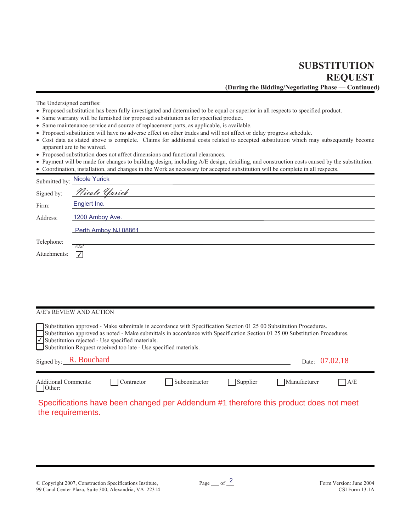**SUBSTITUTION REOUEST** (During the Bidding/Negotiating Phase - Continued)

The Undersigned certifies:

- Proposed substitution has been fully investigated and determined to be equal or superior in all respects to specified product.
- Same warranty will be furnished for proposed substitution as for specified product.
- Same maintenance service and source of replacement parts, as applicable, is available.
- Proposed substitution will have no adverse effect on other trades and will not affect or delay progress schedule.
- Cost data as stated above is complete. Claims for additional costs related to accepted substitution which may subsequently become apparent are to be waived.
- Proposed substitution does not affect dimensions and functional clearances.
- Payment will be made for changes to building design, including A/E design, detailing, and construction costs caused by the substitution.
- Coordination, installation, and changes in the Work as necessary for accepted substitution will be complete in all respects.

| Submitted by: Nicole Yurick     |
|---------------------------------|
| Signed by: <i>Nicole Yurick</i> |
| Englert Inc.                    |
| 1200 Amboy Ave.                 |
| Perth Amboy NJ 08861            |
| -732                            |
| $\vert \sqrt{} \vert$           |
|                                 |

#### A/E's REVIEW AND ACTION

| Substitution approved - Make submittals in accordance with Specification Section 01 25 00 Substitution Procedures.<br>Substitution approved as noted - Make submittals in accordance with Specification Section 01 25 00 Substitution Procedures.<br>V Substitution rejected - Use specified materials.<br>Substitution Request received too late - Use specified materials. |            |               |          |              |     |  |  |
|------------------------------------------------------------------------------------------------------------------------------------------------------------------------------------------------------------------------------------------------------------------------------------------------------------------------------------------------------------------------------|------------|---------------|----------|--------------|-----|--|--|
| Signed by: $R.$ Bouchard<br>Date: 07.02.18                                                                                                                                                                                                                                                                                                                                   |            |               |          |              |     |  |  |
| <b>Additional Comments:</b>                                                                                                                                                                                                                                                                                                                                                  | Contractor | Subcontractor | Supplier | Manufacturer | A/E |  |  |
| $\vert$ Other:                                                                                                                                                                                                                                                                                                                                                               |            |               |          |              |     |  |  |

Specifications have been changed per Addendum #1 therefore this product does not meet the requirements.

© Copyright 2007, Construction Specifications Institute, 99 Canal Center Plaza, Suite 300, Alexandria, VA 22314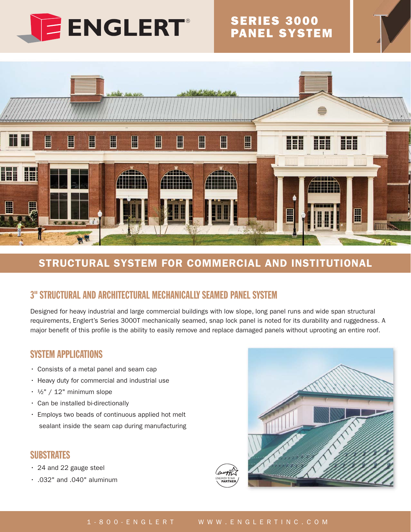

# **SERIES 3000<br>PANEL SYSTEM**



# STRUCTURAL SYSTEM FOR COMMERCIAL AND INSTITUTIONAL

# **3" STRUCTURAL AND ARCHITECTURAL MECHANICALLY SEAMED PANEL SYSTEM**

Designed for heavy industrial and large commercial buildings with low slope, long panel runs and wide span structural requirements, Englert's Series 3000T mechanically seamed, snap lock panel is noted for its durability and ruggedness. A major benefit of this profile is the ability to easily remove and replace damaged panels without uprooting an entire roof.

### **SYSTEM APPLICATIONS**

- Consists of a metal panel and seam cap
- Heavy duty for commercial and industrial use
- $\cdot$   $\frac{1}{2}$ " / 12" minimum slope
- · Can be installed bi-directionally
- · Employs two beads of continuous applied hot melt sealant inside the seam cap during manufacturing

### **SUBSTRATES**

- · 24 and 22 gauge steel
- $\cdot$  .032" and .040" aluminum

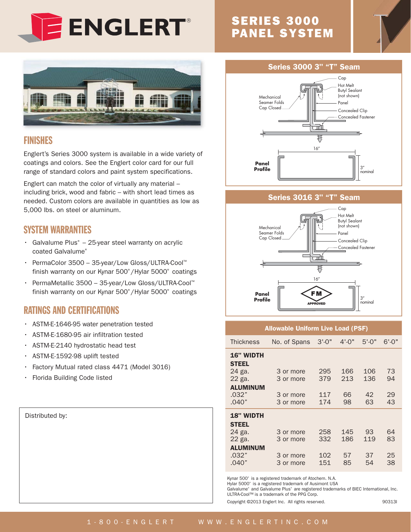

# **SERIES 3000 PANEL SYSTEM**

**Series 3000 3" "T" Seam** 

πŤ ₹

 $16''$ 

₩ń

₹

 $16''$ 

Cap Hot Melt **Butyl Sealant** (not shown)

Pane

Concealed Clip Concealed Fastener

Concealed Clip

Concealed Fastener





### **FINISHES**

Englert's Series 3000 system is available in a wide variety of coatings and colors. See the Englert color card for our full range of standard colors and paint system specifications.

Englert can match the color of virtually any material including brick, wood and fabric - with short lead times as needed. Custom colors are available in quantities as low as 5,000 lbs. on steel or aluminum.

### **SYSTEM WARRANTIES**

- · Galvalume Plus<sup>®</sup> 25-year steel warranty on acrylic coated Galvalume®
- PermaColor 3500 35-year/Low Gloss/ULTRA-Cool™  $\ddot{\phantom{0}}$ finish warranty on our Kynar 500°/Hylar 5000° coatings
- PermaMetallic 3500 35-year/Low Gloss/ULTRA-Cool™  $\bullet$ finish warranty on our Kynar 500°/Hylar 5000° coatings

### **RATINGS AND CERTIFICATIONS**

- · ASTM-E-1646-95 water penetration tested
- · ASTM-E-1680-95 air infiltration tested
- ASTM-E-2140 hydrostatic head test  $\ddot{\phantom{0}}$
- ASTM-E-1592-98 uplift tested  $\bullet$
- $\bullet$ Factory Mutual rated class 4471 (Model 3016)
- Florida Building Code listed  $\bullet$

Distributed by:

|   | <b>Profile</b>                                                                                |
|---|-----------------------------------------------------------------------------------------------|
| S | <b>Series 3016 3" "T" Seam</b>                                                                |
|   | Cap<br>Hot Melt<br><b>Butyl Sealant</b><br>(not shown)<br>Mechanical<br>Seamer Folds<br>Panel |

Cap Closed.

Panel

Mechanical Seamer Folds

Cap Closed.

| Panel<br><b>Profile</b>                                                                   |                                                  | F M<br><b>APPROVED</b>   |                        | 3''<br>nominal         |                      |  |  |  |
|-------------------------------------------------------------------------------------------|--------------------------------------------------|--------------------------|------------------------|------------------------|----------------------|--|--|--|
| <b>Allowable Uniform Live Load (PSF)</b>                                                  |                                                  |                          |                        |                        |                      |  |  |  |
| <b>Thickness</b>                                                                          | No. of Spans                                     | $3' - 0''$               | $4' - 0''$             | $5' - 0''$             | $6' - 0''$           |  |  |  |
| <b>16" WIDTH</b><br><b>STEEL</b><br>24 ga.<br>22 ga.<br><b>ALUMINUM</b><br>.032"<br>.040" | 3 or more<br>3 or more<br>3 or more<br>3 or more | 295<br>379<br>117<br>174 | 166<br>213<br>66<br>98 | 106<br>136<br>42<br>63 | 73<br>94<br>29<br>43 |  |  |  |
| <b>18" WIDTH</b><br><b>STEEL</b><br>24 ga.<br>22 ga.<br><b>ALUMINUM</b><br>.032"<br>.040" | 3 or more<br>3 or more<br>3 or more<br>3 or more | 258<br>332<br>102<br>151 | 145<br>186<br>57<br>85 | 93<br>119<br>37<br>54  | 64<br>83<br>25<br>38 |  |  |  |

Kynar 500° is a registered trademark of Atochem. N.A.

Hylar 5000° is a registered trademark of Ausimont USA

Galvalume<sup>®</sup> and Galvalume Plus<sup>®</sup> are registered trademarks of BIEC International, Inc. ULTRA-Cool™ is a trademark of the PPG Corp.

Copyright @2013 Englert Inc. All rights reserved.

903131

#### WWW.ENGLERTINC.COM 1 - 8 0 0 - E N G L E R T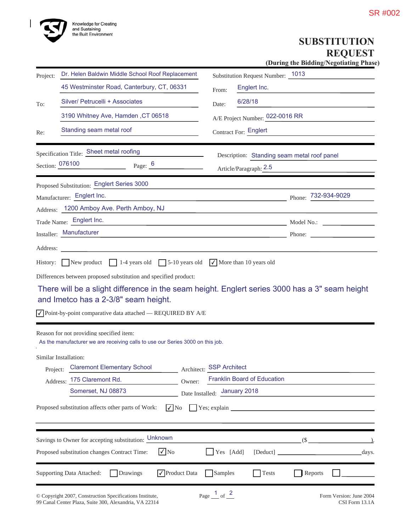

# **SUBSTITUTION**  $REQUEST$

(During the Bidding/Negotiating Phase)

| Project: | Dr. Helen Baldwin Middle School Roof Replacement                                                                            | Substitution Request Number: 1013                                                                                                                                                                                                    |
|----------|-----------------------------------------------------------------------------------------------------------------------------|--------------------------------------------------------------------------------------------------------------------------------------------------------------------------------------------------------------------------------------|
|          | 45 Westminster Road, Canterbury, CT, 06331                                                                                  | Englert Inc.<br>From:                                                                                                                                                                                                                |
| To:      | Silver/ Petrucelli + Associates                                                                                             | 6/28/18<br>Date:                                                                                                                                                                                                                     |
|          | 3190 Whitney Ave, Hamden, CT 06518                                                                                          | A/E Project Number: 022-0016 RR                                                                                                                                                                                                      |
| Re:      | Standing seam metal roof                                                                                                    | Contract For: Englert                                                                                                                                                                                                                |
|          | Specification Title: Sheet metal roofing                                                                                    | Description: Standing seam metal roof panel                                                                                                                                                                                          |
|          | Section: 076100<br>Page: $6 \n\phantom{00}$                                                                                 | Article/Paragraph: 2.5                                                                                                                                                                                                               |
|          | Proposed Substitution: Englert Series 3000                                                                                  |                                                                                                                                                                                                                                      |
|          | Manufacturer: Englert Inc.                                                                                                  | Phone: $\frac{732-934-9029}{ }$                                                                                                                                                                                                      |
|          | Address: 1200 Amboy Ave. Perth Amboy, NJ                                                                                    |                                                                                                                                                                                                                                      |
|          | Trade Name: Englert Inc.                                                                                                    | Model No.: Note and Social Model No.:                                                                                                                                                                                                |
|          | Installer: Manufacturer                                                                                                     | <u>Phone: Phone: Phone: Phone: Phone: Phone: Phone: Phone: Phone: Phone: Phone: Phone: Phone: Phone: Phone: Phone: Phone: Phone: Phone: Phone: Phone: Phone: Phone: Phone: Phone: Phone: Phone: Phone: Phone: Phone: Phone: Phon</u> |
| Address: |                                                                                                                             |                                                                                                                                                                                                                                      |
|          | and Imetco has a 2-3/8" seam height.<br>$\sqrt{}$ Point-by-point comparative data attached $-$ REQUIRED BY A/E              | There will be a slight difference in the seam height. Englert series 3000 has a 3" seam height                                                                                                                                       |
|          | Reason for not providing specified item:<br>As the manufacturer we are receiving calls to use our Series 3000 on this job.  |                                                                                                                                                                                                                                      |
|          | Similar Installation:<br>Project: Claremont Elementary School<br>Address: 175 Claremont Rd.<br>Owner:<br>Somerset, NJ 08873 | Architect: SSP Architect<br>Franklin Board of Education<br>Date Installed: January 2018                                                                                                                                              |
|          | Proposed substitution affects other parts of Work:                                                                          | $\sqrt{\phantom{a}}$ No $\sqrt{\phantom{a}}$ Yes; explain                                                                                                                                                                            |
|          | Savings to Owner for accepting substitution: Unknown<br>$\sqrt{N_0}$<br>Proposed substitution changes Contract Time:        | $\sim$ (\$<br>Yes [Add]<br>_days.                                                                                                                                                                                                    |
|          | √ Product Data<br>Supporting Data Attached:<br>Drawings                                                                     | Samples<br>Tests<br>Reports                                                                                                                                                                                                          |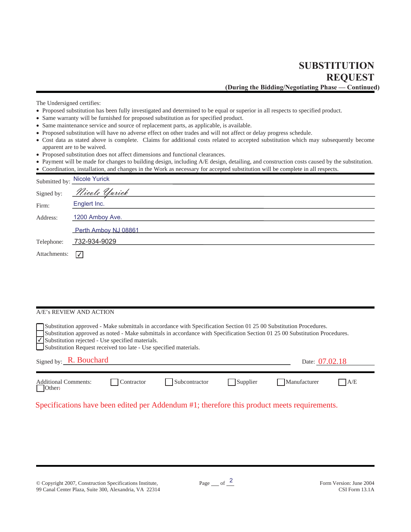**SUBSTITUTION REOUEST** (During the Bidding/Negotiating Phase - Continued)

The Undersigned certifies:

- x Proposed substitution has been fully investigated and determined to be equal or superior in all respects to specified product.
- Same warranty will be furnished for proposed substitution as for specified product.
- Same maintenance service and source of replacement parts, as applicable, is available.
- Proposed substitution will have no adverse effect on other trades and will not affect or delay progress schedule.
- Cost data as stated above is complete. Claims for additional costs related to accepted substitution which may subsequently become apparent are to be waived.
- Proposed substitution does not affect dimensions and functional clearances.
- x Payment will be made for changes to building design, including A/E design, detailing, and construction costs caused by the substitution.
- x Coordination, installation, and changes in the Work as necessary for accepted substitution will be complete in all respects.

|              | Submitted by: Nicole Yurick |
|--------------|-----------------------------|
| Signed by:   | <u>Nicole Yurick</u>        |
| Firm:        | Englert Inc.                |
| Address:     | 1200 Amboy Ave.             |
|              | Perth Amboy NJ 08861        |
| Telephone:   | 732-934-9029                |
| Attachments: | $ \sqrt{} $                 |

#### A/E's REVIEW AND ACTION

| Substitution approved - Make submittals in accordance with Specification Section 01 25 00 Substitution Procedures.<br>Substitution approved as noted - Make submittals in accordance with Specification Section 01 25 00 Substitution Procedures.<br>$\sqrt{\phantom{a}}$ Substitution rejected - Use specified materials.<br>Substitution Request received too late - Use specified materials. |            |               |          |              |     |  |  |  |
|-------------------------------------------------------------------------------------------------------------------------------------------------------------------------------------------------------------------------------------------------------------------------------------------------------------------------------------------------------------------------------------------------|------------|---------------|----------|--------------|-----|--|--|--|
| Signed by: $R.$ Bouchard<br>Date: 07.02.18                                                                                                                                                                                                                                                                                                                                                      |            |               |          |              |     |  |  |  |
| <b>Additional Comments:</b><br>Other:                                                                                                                                                                                                                                                                                                                                                           | Contractor | Subcontractor | Supplier | Manufacturer | A/E |  |  |  |

Specifications have been edited per Addendum #1; therefore this product meets requirements.

© Copyright 2007, Construction Specifications Institute, 99 Canal Center Plaza, Suite 300, Alexandria, VA 22314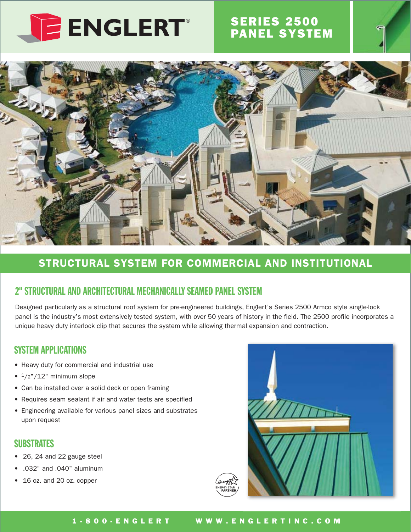

# **SERIES 2500<br>PANEL SYSTEM**



# STRUCTURAL SYSTEM FOR COMMERCIAL AND INSTITUTIONAL

# 2" STRUCTURAL AND ARCHITECTURAL MECHANICALLY SEAMED PANEL SYSTEM

Designed particularly as a structural roof system for pre-engineered buildings, Englert's Series 2500 Armco style single-lock panel is the industry's most extensively tested system, with over 50 years of history in the field. The 2500 profile incorporates a unique heavy duty interlock clip that secures the system while allowing thermal expansion and contraction.

### **SYSTEM APPLICATIONS**

- Heavy duty for commercial and industrial use
- $\bullet$  1/2"/12" minimum slope
- Can be installed over a solid deck or open framing
- Requires seam sealant if air and water tests are specified
- Engineering available for various panel sizes and substrates upon request

### **SUBSTRATES**

- 26, 24 and 22 gauge steel
- .032" and .040" aluminum
- 16 oz. and 20 oz. copper

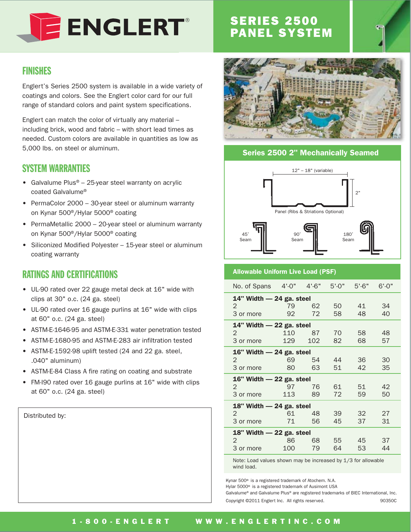

# **SERIES 2500<br>PANEL SYSTEM**

### **FINISHES**

Englert's Series 2500 system is available in a wide variety of coatings and colors. See the Englert color card for our full range of standard colors and paint system specifications.

Englert can match the color of virtually any material including brick, wood and fabric - with short lead times as needed. Custom colors are available in quantities as low as 5,000 lbs. on steel or aluminum.

### **SYSTEM WARRANTIES**

- Galvalume Plus® 25-year steel warranty on acrylic coated Galvalume®
- PermaColor 2000 30-year steel or aluminum warranty on Kynar 500<sup>®</sup>/Hylar 5000<sup>®</sup> coating
- PermaMetallic 2000 20-year steel or aluminum warranty on Kynar 500<sup>®</sup>/Hylar 5000<sup>®</sup> coating
- Siliconized Modified Polyester 15-year steel or aluminum coating warranty

# **RATINGS AND CERTIFICATIONS**

- UL-90 rated over 22 gauge metal deck at 16" wide with clips at 30" o.c. (24 ga. steel)
- UL-90 rated over 16 gauge purlins at 16" wide with clips at 60" o.c. (24 ga. steel)
- ASTM-E-1646-95 and ASTM-E-331 water penetration tested
- ASTM-E-1680-95 and ASTM-E-283 air infiltration tested
- ASTM-E-1592-98 uplift tested (24 and 22 ga. steel,  $.040"$  aluminum)
- ASTM-E-84 Class A fire rating on coating and substrate
- FM-I90 rated over 16 gauge purlins at 16" wide with clips at 60" o.c. (24 ga. steel)

Distributed by:



#### **Series 2500 2" Mechanically Seamed**





#### **Allowable Uniform Live Load (PSF)**

| No. of Spans             | $4' - 0''$               | $4' - 6"$ | $5' - 0''$ | $5' - 6"$ | $6'$ -0" |  |  |
|--------------------------|--------------------------|-----------|------------|-----------|----------|--|--|
|                          | 14" Width - 24 ga. steel |           |            |           |          |  |  |
| $\overline{2}$           | 79                       | 62        | 50         | 41        | 34       |  |  |
| 3 or more                | 92                       | 72        | 58         | 48        | 40       |  |  |
| 14" Width - 22 ga. steel |                          |           |            |           |          |  |  |
| $\overline{2}$           | 110                      | 87        | 70         | 58        | 48       |  |  |
| 3 or more                | 129                      | 102       | 82         | 68        | 57       |  |  |
| 16" Width - 24 ga. steel |                          |           |            |           |          |  |  |
| 2                        | 69                       | 54        | 44         | 36        | 30       |  |  |
| 3 or more                | 80                       | 63        | 51         | 42        | 35       |  |  |
|                          | 16" Width - 22 ga. steel |           |            |           |          |  |  |
| 2                        | 97                       | 76        | 61         | 51        | 42       |  |  |
| 3 or more                | 113                      | 89        | 72         | 59        | 50       |  |  |
| 18" Width - 24 ga. steel |                          |           |            |           |          |  |  |
| $\overline{2}$           | 61                       | 48        | 39         | 32        | 27       |  |  |
| 3 or more                | 71                       | 56        | 45         | 37        | 31       |  |  |
| 18" Width - 22 ga. steel |                          |           |            |           |          |  |  |
| $\mathcal{P}$            | 86                       | 68        | 55         | 45        | 37       |  |  |
| 3 or more                | 100                      | 79        | 64         | 53        | 44       |  |  |

Note: Load values shown may be increased by 1/3 for allowable wind load.

Kynar 500<sup>®</sup> is a registered trademark of Atochem. N.A. Hylar 5000<sup>®</sup> is a registered trademark of Ausimont USA Galvalume® and Galvalume Plus® are registered trademarks of BIEC International, Inc. Copyright @2011 Englert Inc. All rights reserved. 903500

1 - 8 0 0 - E N G L E R T WWW.ENGLERTINC.COM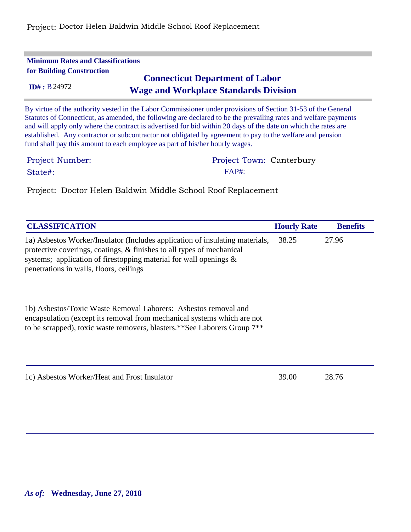Project: Doctor Helen Baldwin Middle School Roof Replacement

| <b>Minimum Rates and Classifications</b><br><b>for Building Construction</b>                           |                                                                                                                                                                                                                                                                                                                                                                                                                                                                                                                                                |  |  |  |  |
|--------------------------------------------------------------------------------------------------------|------------------------------------------------------------------------------------------------------------------------------------------------------------------------------------------------------------------------------------------------------------------------------------------------------------------------------------------------------------------------------------------------------------------------------------------------------------------------------------------------------------------------------------------------|--|--|--|--|
| <b>Connecticut Department of Labor</b><br>ID# : B24972<br><b>Wage and Workplace Standards Division</b> |                                                                                                                                                                                                                                                                                                                                                                                                                                                                                                                                                |  |  |  |  |
|                                                                                                        | By virtue of the authority vested in the Labor Commissioner under provisions of Section 31-53 of the General<br>Statutes of Connecticut, as amended, the following are declared to be the prevailing rates and welfare payments<br>and will apply only where the contract is advertised for bid within 20 days of the date on which the rates are<br>established. Any contractor or subcontractor not obligated by agreement to pay to the welfare and pension<br>fund shall pay this amount to each employee as part of his/her hourly wages. |  |  |  |  |
| Project Number:                                                                                        | Project Town: Canterbury                                                                                                                                                                                                                                                                                                                                                                                                                                                                                                                       |  |  |  |  |
| State#:                                                                                                | $FAP\ddagger^{\cdot}$                                                                                                                                                                                                                                                                                                                                                                                                                                                                                                                          |  |  |  |  |

Project: Doctor Helen Baldwin Middle School Roof Replacement

| <b>CLASSIFICATION</b>                                                                                                                                                                                                                                                    | <b>Hourly Rate</b> | <b>Benefits</b> |
|--------------------------------------------------------------------------------------------------------------------------------------------------------------------------------------------------------------------------------------------------------------------------|--------------------|-----------------|
| 1a) Asbestos Worker/Insulator (Includes application of insulating materials,<br>protective coverings, coatings, & finishes to all types of mechanical<br>systems; application of firestopping material for wall openings $\&$<br>penetrations in walls, floors, ceilings | 38.25              | 27.96           |
| 1b) Asbestos/Toxic Waste Removal Laborers: Asbestos removal and<br>encapsulation (except its removal from mechanical systems which are not<br>to be scrapped), toxic waste removers, blasters.**See Laborers Group 7**                                                   |                    |                 |
| 1c) Asbestos Worker/Heat and Frost Insulator                                                                                                                                                                                                                             | 39.00              | 28.76           |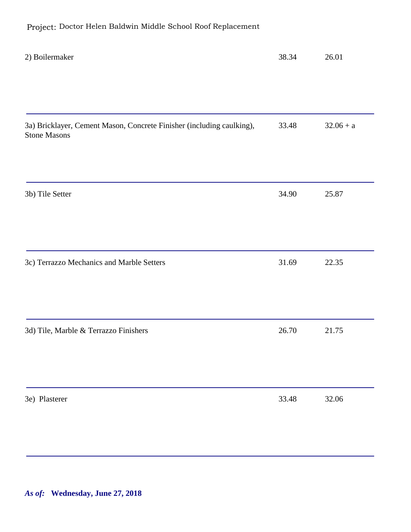| 2) Boilermaker                                                                               | 38.34 | 26.01       |
|----------------------------------------------------------------------------------------------|-------|-------------|
|                                                                                              |       |             |
|                                                                                              |       |             |
| 3a) Bricklayer, Cement Mason, Concrete Finisher (including caulking),<br><b>Stone Masons</b> | 33.48 | $32.06 + a$ |
|                                                                                              |       |             |
| 3b) Tile Setter                                                                              | 34.90 | 25.87       |
|                                                                                              |       |             |
| 3c) Terrazzo Mechanics and Marble Setters                                                    | 31.69 | 22.35       |
|                                                                                              |       |             |
| 3d) Tile, Marble & Terrazzo Finishers                                                        | 26.70 | 21.75       |
|                                                                                              |       |             |
| 3e) Plasterer                                                                                | 33.48 | 32.06       |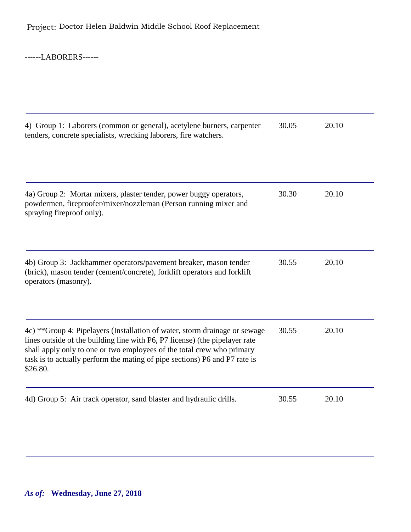------LABORERS------

| 4) Group 1: Laborers (common or general), acetylene burners, carpenter<br>tenders, concrete specialists, wrecking laborers, fire watchers.                                                                                                                                                                                    | 30.05 | 20.10 |
|-------------------------------------------------------------------------------------------------------------------------------------------------------------------------------------------------------------------------------------------------------------------------------------------------------------------------------|-------|-------|
| 4a) Group 2: Mortar mixers, plaster tender, power buggy operators,<br>powdermen, fireproofer/mixer/nozzleman (Person running mixer and<br>spraying fireproof only).                                                                                                                                                           | 30.30 | 20.10 |
| 4b) Group 3: Jackhammer operators/pavement breaker, mason tender<br>(brick), mason tender (cement/concrete), forklift operators and forklift<br>operators (masonry).                                                                                                                                                          | 30.55 | 20.10 |
| 4c) **Group 4: Pipelayers (Installation of water, storm drainage or sewage<br>lines outside of the building line with P6, P7 license) (the pipelayer rate<br>shall apply only to one or two employees of the total crew who primary<br>task is to actually perform the mating of pipe sections) P6 and P7 rate is<br>\$26.80. | 30.55 | 20.10 |
| 4d) Group 5: Air track operator, sand blaster and hydraulic drills.                                                                                                                                                                                                                                                           | 30.55 | 20.10 |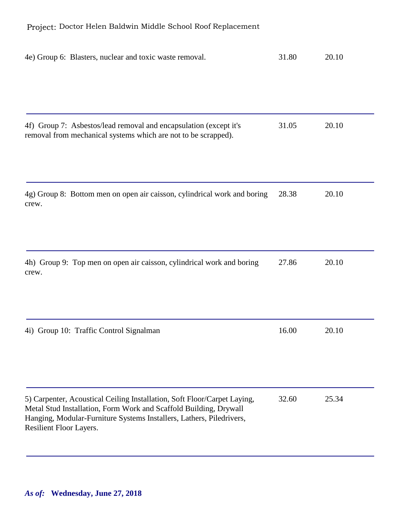| 4e) Group 6: Blasters, nuclear and toxic waste removal.                                                                                                                                                                                          | 31.80 | 20.10 |
|--------------------------------------------------------------------------------------------------------------------------------------------------------------------------------------------------------------------------------------------------|-------|-------|
|                                                                                                                                                                                                                                                  |       |       |
| 4f) Group 7: Asbestos/lead removal and encapsulation (except it's<br>removal from mechanical systems which are not to be scrapped).                                                                                                              | 31.05 | 20.10 |
| 4g) Group 8: Bottom men on open air caisson, cylindrical work and boring<br>crew.                                                                                                                                                                | 28.38 | 20.10 |
| 4h) Group 9: Top men on open air caisson, cylindrical work and boring<br>crew.                                                                                                                                                                   | 27.86 | 20.10 |
| 4i) Group 10: Traffic Control Signalman                                                                                                                                                                                                          | 16.00 | 20.10 |
| 5) Carpenter, Acoustical Ceiling Installation, Soft Floor/Carpet Laying,<br>Metal Stud Installation, Form Work and Scaffold Building, Drywall<br>Hanging, Modular-Furniture Systems Installers, Lathers, Piledrivers,<br>Resilient Floor Layers. | 32.60 | 25.34 |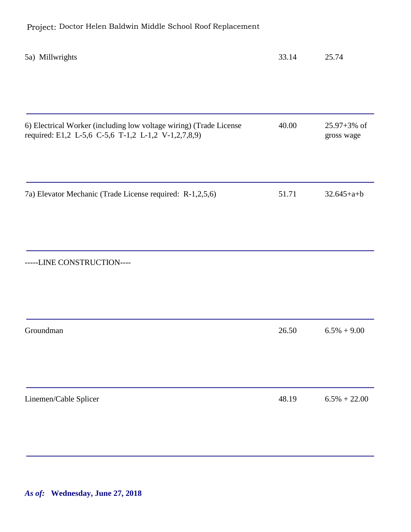| 5a) Millwrights                                                                                                           | 33.14 | 25.74                          |
|---------------------------------------------------------------------------------------------------------------------------|-------|--------------------------------|
|                                                                                                                           |       |                                |
| 6) Electrical Worker (including low voltage wiring) (Trade License<br>required: E1,2 L-5,6 C-5,6 T-1,2 L-1,2 V-1,2,7,8,9) | 40.00 | $25.97 + 3\%$ of<br>gross wage |
| 7a) Elevator Mechanic (Trade License required: R-1,2,5,6)                                                                 | 51.71 | $32.645 + a + b$               |
| -----LINE CONSTRUCTION----                                                                                                |       |                                |
| Groundman                                                                                                                 | 26.50 | $6.5\% + 9.00$                 |
| Linemen/Cable Splicer                                                                                                     | 48.19 | $6.5\% + 22.00$                |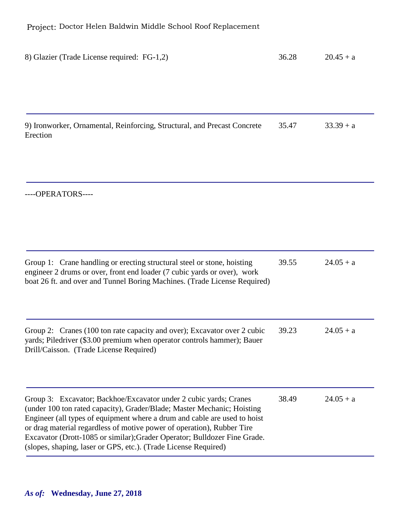| 8) Glazier (Trade License required: FG-1,2)                                                                                                                                                                                                                                                                                                                                                                                                         | 36.28 | $20.45 + a$ |
|-----------------------------------------------------------------------------------------------------------------------------------------------------------------------------------------------------------------------------------------------------------------------------------------------------------------------------------------------------------------------------------------------------------------------------------------------------|-------|-------------|
|                                                                                                                                                                                                                                                                                                                                                                                                                                                     |       |             |
| 9) Ironworker, Ornamental, Reinforcing, Structural, and Precast Concrete<br>Erection                                                                                                                                                                                                                                                                                                                                                                | 35.47 | $33.39 + a$ |
| ----OPERATORS----                                                                                                                                                                                                                                                                                                                                                                                                                                   |       |             |
| Group 1: Crane handling or erecting structural steel or stone, hoisting<br>engineer 2 drums or over, front end loader (7 cubic yards or over), work<br>boat 26 ft. and over and Tunnel Boring Machines. (Trade License Required)                                                                                                                                                                                                                    | 39.55 | $24.05 + a$ |
| Group 2: Cranes (100 ton rate capacity and over); Excavator over 2 cubic<br>yards; Piledriver (\$3.00 premium when operator controls hammer); Bauer<br>Drill/Caisson. (Trade License Required)                                                                                                                                                                                                                                                      | 39.23 | $24.05 + a$ |
| Group 3: Excavator; Backhoe/Excavator under 2 cubic yards; Cranes<br>(under 100 ton rated capacity), Grader/Blade; Master Mechanic; Hoisting<br>Engineer (all types of equipment where a drum and cable are used to hoist<br>or drag material regardless of motive power of operation), Rubber Tire<br>Excavator (Drott-1085 or similar); Grader Operator; Bulldozer Fine Grade.<br>(slopes, shaping, laser or GPS, etc.). (Trade License Required) | 38.49 | $24.05 + a$ |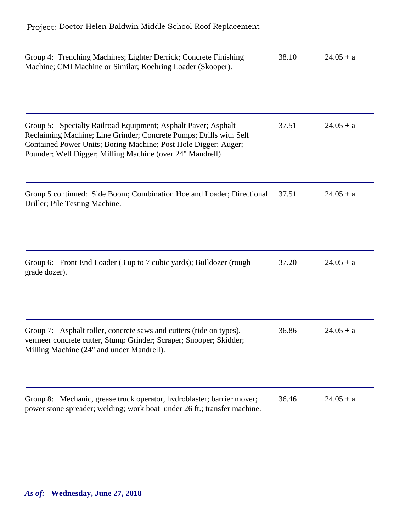| Group 4: Trenching Machines; Lighter Derrick; Concrete Finishing<br>Machine; CMI Machine or Similar; Koehring Loader (Skooper).                                                                                                                                     | 38.10 | $24.05 + a$ |
|---------------------------------------------------------------------------------------------------------------------------------------------------------------------------------------------------------------------------------------------------------------------|-------|-------------|
| Group 5: Specialty Railroad Equipment; Asphalt Paver; Asphalt<br>Reclaiming Machine; Line Grinder; Concrete Pumps; Drills with Self<br>Contained Power Units; Boring Machine; Post Hole Digger; Auger;<br>Pounder; Well Digger; Milling Machine (over 24" Mandrell) | 37.51 | $24.05 + a$ |
| Group 5 continued: Side Boom; Combination Hoe and Loader; Directional<br>Driller; Pile Testing Machine.                                                                                                                                                             | 37.51 | $24.05 + a$ |
| Group 6: Front End Loader (3 up to 7 cubic yards); Bulldozer (rough<br>grade dozer).                                                                                                                                                                                | 37.20 | $24.05 + a$ |
| Group 7: Asphalt roller, concrete saws and cutters (ride on types),<br>vermeer concrete cutter, Stump Grinder; Scraper; Snooper; Skidder;<br>Milling Machine (24" and under Mandrell).                                                                              | 36.86 | $24.05 + a$ |
| Group 8: Mechanic, grease truck operator, hydroblaster; barrier mover;<br>power stone spreader; welding; work boat under 26 ft.; transfer machine.                                                                                                                  | 36.46 | $24.05 + a$ |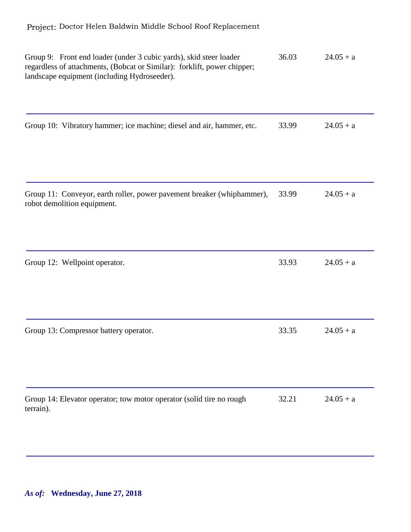| Group 9: Front end loader (under 3 cubic yards), skid steer loader<br>regardless of attachments, (Bobcat or Similar): forklift, power chipper;<br>landscape equipment (including Hydroseeder). | 36.03 | $24.05 + a$ |
|------------------------------------------------------------------------------------------------------------------------------------------------------------------------------------------------|-------|-------------|
| Group 10: Vibratory hammer; ice machine; diesel and air, hammer, etc.                                                                                                                          | 33.99 | $24.05 + a$ |
| Group 11: Conveyor, earth roller, power pavement breaker (whiphammer),<br>robot demolition equipment.                                                                                          | 33.99 | $24.05 + a$ |
| Group 12: Wellpoint operator.                                                                                                                                                                  | 33.93 | $24.05 + a$ |
| Group 13: Compressor battery operator.                                                                                                                                                         | 33.35 | $24.05 + a$ |
| Group 14: Elevator operator; tow motor operator (solid tire no rough<br>terrain).                                                                                                              | 32.21 | $24.05 + a$ |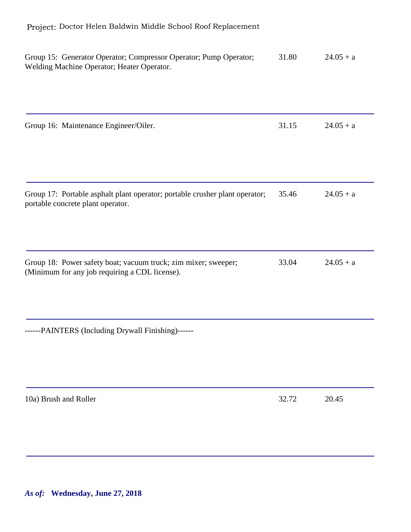| Group 15: Generator Operator; Compressor Operator; Pump Operator;<br>Welding Machine Operator; Heater Operator.  | 31.80 | $24.05 + a$ |
|------------------------------------------------------------------------------------------------------------------|-------|-------------|
| Group 16: Maintenance Engineer/Oiler.                                                                            | 31.15 | $24.05 + a$ |
| Group 17: Portable asphalt plant operator; portable crusher plant operator;<br>portable concrete plant operator. | 35.46 | $24.05 + a$ |
| Group 18: Power safety boat; vacuum truck; zim mixer; sweeper;<br>(Minimum for any job requiring a CDL license). | 33.04 | $24.05 + a$ |
| ------PAINTERS (Including Drywall Finishing)------                                                               |       |             |
| 10a) Brush and Roller                                                                                            | 32.72 | 20.45       |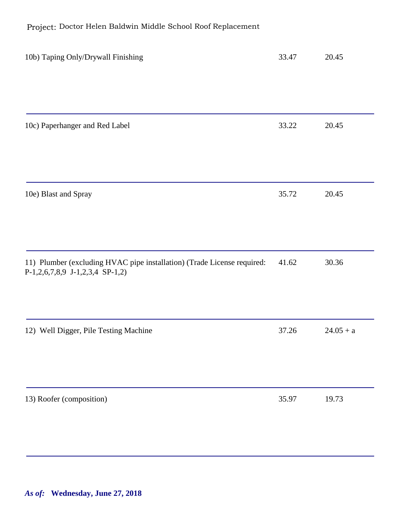| 10b) Taping Only/Drywall Finishing                                                                         | 33.47 | 20.45       |
|------------------------------------------------------------------------------------------------------------|-------|-------------|
|                                                                                                            |       |             |
|                                                                                                            |       |             |
| 10c) Paperhanger and Red Label                                                                             | 33.22 | 20.45       |
|                                                                                                            |       |             |
| 10e) Blast and Spray                                                                                       | 35.72 | 20.45       |
|                                                                                                            |       |             |
|                                                                                                            |       |             |
| 11) Plumber (excluding HVAC pipe installation) (Trade License required:<br>P-1,2,6,7,8,9 J-1,2,3,4 SP-1,2) | 41.62 | 30.36       |
|                                                                                                            |       |             |
| 12) Well Digger, Pile Testing Machine                                                                      | 37.26 | $24.05 + a$ |
|                                                                                                            |       |             |
| 13) Roofer (composition)                                                                                   | 35.97 | 19.73       |
|                                                                                                            |       |             |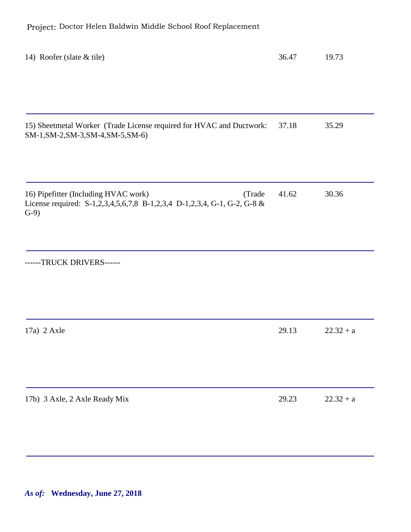| 14) Roofer (slate & tile)                                                                                                            | 36.47 | 19.73       |
|--------------------------------------------------------------------------------------------------------------------------------------|-------|-------------|
|                                                                                                                                      |       |             |
| 15) Sheetmetal Worker (Trade License required for HVAC and Ductwork:<br>SM-1, SM-2, SM-3, SM-4, SM-5, SM-6)                          | 37.18 | 35.29       |
| 16) Pipefitter (Including HVAC work)<br>(Trade<br>License required: S-1,2,3,4,5,6,7,8 B-1,2,3,4 D-1,2,3,4, G-1, G-2, G-8 &<br>$G-9)$ | 41.62 | 30.36       |
| ------TRUCK DRIVERS------                                                                                                            |       |             |
| $17a)$ 2 Axle                                                                                                                        | 29.13 | $22.32 + a$ |
| 17b) 3 Axle, 2 Axle Ready Mix                                                                                                        | 29.23 | $22.32 + a$ |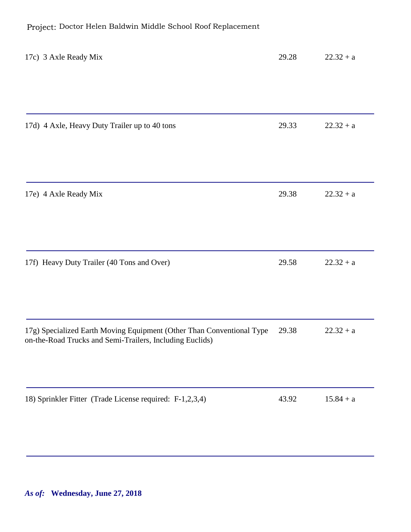| 17c) 3 Axle Ready Mix                                                                                                             | 29.28 | $22.32 + a$ |
|-----------------------------------------------------------------------------------------------------------------------------------|-------|-------------|
|                                                                                                                                   |       |             |
| 17d) 4 Axle, Heavy Duty Trailer up to 40 tons                                                                                     | 29.33 | $22.32 + a$ |
| 17e) 4 Axle Ready Mix                                                                                                             | 29.38 | $22.32 + a$ |
| 17f) Heavy Duty Trailer (40 Tons and Over)                                                                                        | 29.58 | $22.32 + a$ |
| 17g) Specialized Earth Moving Equipment (Other Than Conventional Type<br>on-the-Road Trucks and Semi-Trailers, Including Euclids) | 29.38 | $22.32 + a$ |
| 18) Sprinkler Fitter (Trade License required: F-1,2,3,4)                                                                          | 43.92 | $15.84 + a$ |
|                                                                                                                                   |       |             |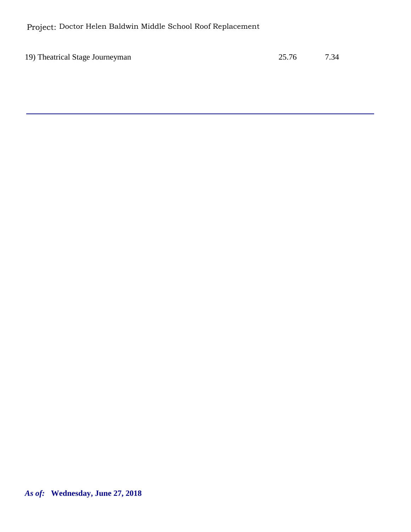Project: Doctor Helen Baldwin Middle School Roof Replacement

19) Theatrical Stage Journeyman 25.76 7.34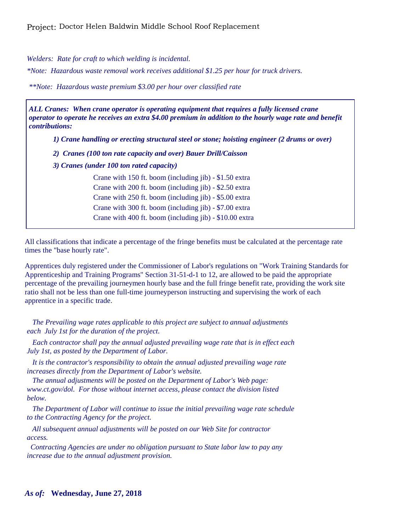*Welders: Rate for craft to which welding is incidental.*

*\*Note: Hazardous waste removal work receives additional \$1.25 per hour for truck drivers.*

*\*\*Note: Hazardous waste premium \$3.00 per hour over classified rate*

*ALL Cranes: When crane operator is operating equipment that requires a fully licensed crane operator to operate he receives an extra \$4.00 premium in addition to the hourly wage rate and benefit contributions:*

*1) Crane handling or erecting structural steel or stone; hoisting engineer (2 drums or over)*

- *2) Cranes (100 ton rate capacity and over) Bauer Drill/Caisson*
- *3) Cranes (under 100 ton rated capacity)*

Crane with 150 ft. boom (including jib) - \$1.50 extra Crane with 200 ft. boom (including jib) - \$2.50 extra Crane with 250 ft. boom (including jib) - \$5.00 extra Crane with 300 ft. boom (including jib) - \$7.00 extra Crane with 400 ft. boom (including jib) - \$10.00 extra

All classifications that indicate a percentage of the fringe benefits must be calculated at the percentage rate times the "base hourly rate".

Apprentices duly registered under the Commissioner of Labor's regulations on "Work Training Standards for Apprenticeship and Training Programs" Section 31-51-d-1 to 12, are allowed to be paid the appropriate percentage of the prevailing journeymen hourly base and the full fringe benefit rate, providing the work site ratio shall not be less than one full-time journeyperson instructing and supervising the work of each apprentice in a specific trade.

 *The Prevailing wage rates applicable to this project are subject to annual adjustments each July 1st for the duration of the project.* 

 *Each contractor shall pay the annual adjusted prevailing wage rate that is in effect each July 1st, as posted by the Department of Labor.* 

 *It is the contractor's responsibility to obtain the annual adjusted prevailing wage rate increases directly from the Department of Labor's website.*

 *The annual adjustments will be posted on the Department of Labor's Web page: www.ct.gov/dol. For those without internet access, please contact the division listed below.*

 *The Department of Labor will continue to issue the initial prevailing wage rate schedule to the Contracting Agency for the project.*

 *All subsequent annual adjustments will be posted on our Web Site for contractor access.* 

 *Contracting Agencies are under no obligation pursuant to State labor law to pay any increase due to the annual adjustment provision.*